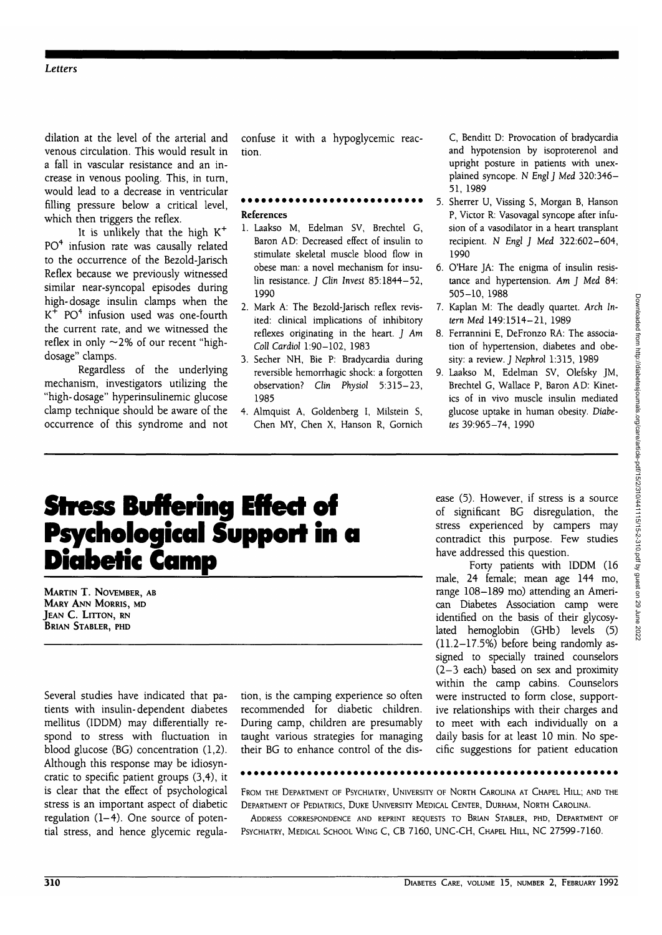dilation at the level of the arterial and venous circulation. This would result in a fall in vascular resistance and an increase in venous pooling. This, in turn, would lead to a decrease in ventricular filling pressure below a critical level, which then triggers the reflex.

It is unlikely that the high K<sup>+</sup> PO<sup>4</sup> infusion rate was causally related to the occurrence of the Bezold-Jarisch Reflex because we previously witnessed similar near-syncopal episodes during high-dosage insulin clamps when the  $K^+$  PO<sup>4</sup> infusion used was one-fourth the current rate, and we witnessed the reflex in only  $\sim$ 2% of our recent "highdosage" clamps.

Regardless of the underlying mechanism, investigators utilizing the "high-dosage" hyperinsulinemic glucose clamp technique should be aware of the occurrence of this syndrome and not confuse it with a hypoglycemic reaction.

## References

- 1. Laakso M, Edelman SV, Brechtel G, Baron AD: Decreased effect of insulin to stimulate skeletal muscle blood flow in obese man: a novel mechanism for insulin resistance. *J Clin Invest* 85:1844-52, 1990
- 2. Mark A: The Bezold-Jarisch reflex revisited: clinical implications of inhibitory reflexes originating in the heart. J *Am Coll Cardiol* 1:90-102, 1983
- 3. Secher NH, Bie P: Bradycardia during reversible hemorrhagic shock: a forgotten observation? Clin *Physiol* 5:315-23, 1985
- 4. Almquist A, Goldenberg I, Milstein S, Chen MY, Chen X, Hanson R, Gornich

C, Benditt D: Provocation of bradycardia and hypotension by isoproterenol and upright posture in patients with unexplained syncope. N *EnglJ Med* 320:346- 51, 1989

- 5. Sherrer U, Vissing S, Morgan B, Hanson P, Victor R: Vasovagal syncope after infusion of a vasodilator in a heart transplant recipient. N *Engl J Med* 322:602-604, 1990
- 6. O'Hare JA: The enigma of insulin resistance and hypertension. *Am J Med* 84: 505-10, 1988
- 7. Kaplan M: The deadly quartet. *Arch Intern Med* 149:1514-21, 1989
- 8. Ferrannini E, DeFronzo RA: The association of hypertension, diabetes and obesity: a review. J *Nephrol* 1:315, 1989
- 9. Laakso M, Edelman SV, Olefsky JM, Brechtel G, Wallace P, Baron AD: Kinetics of in vivo muscle insulin mediated glucose uptake in human obesity. *Diabetes* 39:965-74, 1990

# **Stress Buffering Effect of Psychological Support in a Diabetic Camp**

MARTIN T. NOVEMBER, AB MARY ANN MORRIS, MD JEAN C. LITTON, RN BRIAN STABLER, PHD

Several studies have indicated that patients with insulin-dependent diabetes mellitus (IDDM) may differentially respond to stress with fluctuation in blood glucose (BG) concentration (1,2). Although this response may be idiosyncratic to specific patient groups (3,4), it is clear that the effect of psychological stress is an important aspect of diabetic regulation (1-4). One source of potential stress, and hence glycemic regulation, is the camping experience so often recommended for diabetic children. During camp, children are presumably taught various strategies for managing their BG to enhance control of the disease (5). However, if stress is a source of significant BG disregulation, the stress experienced by campers may contradict this purpose. Few studies have addressed this question.

Forty patients with IDDM (16 male, 24 female; mean age 144 mo, range 108-189 mo) attending an American Diabetes Association camp were identified on the basis of their glycosylated hemoglobin (GHb) levels (5) (11.2-17.5%) before being randomly assigned to specially trained counselors (2-3 each) based on sex and proximity within the camp cabins. Counselors were instructed to form close, supportive relationships with their charges and to meet with each individually on a daily basis for at least 10 min. No specific suggestions for patient education

FROM THE DEPARTMENT OF PSYCHIATRY, UNIVERSITY OF NORTH CAROLINA AT CHAPEL HILL; AND THE DEPARTMENT OF PEDIATRICS, DUKE UNIVERSITY MEDICAL CENTER, DURHAM, NORTH CAROLINA.

ADDRESS CORRESPONDENCE AND REPRINT REQUESTS TO BRIAN STABLER, PHD, DEPARTMENT OF PSYCHIATRY, MEDICAL SCHOOL WING C, CB 7160, UNC-CH, CHAPEL HILL, NC 27599-7160.